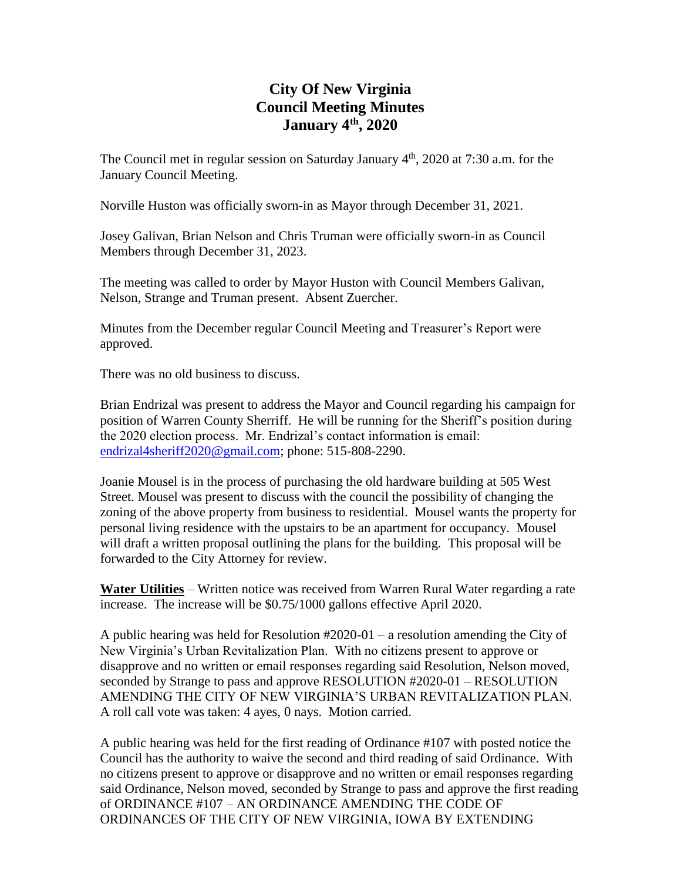## **City Of New Virginia Council Meeting Minutes January 4th, 2020**

The Council met in regular session on Saturday January  $4<sup>th</sup>$ , 2020 at 7:30 a.m. for the January Council Meeting.

Norville Huston was officially sworn-in as Mayor through December 31, 2021.

Josey Galivan, Brian Nelson and Chris Truman were officially sworn-in as Council Members through December 31, 2023.

The meeting was called to order by Mayor Huston with Council Members Galivan, Nelson, Strange and Truman present. Absent Zuercher.

Minutes from the December regular Council Meeting and Treasurer's Report were approved.

There was no old business to discuss.

Brian Endrizal was present to address the Mayor and Council regarding his campaign for position of Warren County Sherriff. He will be running for the Sheriff's position during the 2020 election process. Mr. Endrizal's contact information is email: [endrizal4sheriff2020@gmail.com;](mailto:endrizal4sheriff2020@gmail.com) phone: 515-808-2290.

Joanie Mousel is in the process of purchasing the old hardware building at 505 West Street. Mousel was present to discuss with the council the possibility of changing the zoning of the above property from business to residential. Mousel wants the property for personal living residence with the upstairs to be an apartment for occupancy. Mousel will draft a written proposal outlining the plans for the building. This proposal will be forwarded to the City Attorney for review.

**Water Utilities** – Written notice was received from Warren Rural Water regarding a rate increase. The increase will be \$0.75/1000 gallons effective April 2020.

A public hearing was held for Resolution #2020-01 – a resolution amending the City of New Virginia's Urban Revitalization Plan. With no citizens present to approve or disapprove and no written or email responses regarding said Resolution, Nelson moved, seconded by Strange to pass and approve RESOLUTION #2020-01 – RESOLUTION AMENDING THE CITY OF NEW VIRGINIA'S URBAN REVITALIZATION PLAN. A roll call vote was taken: 4 ayes, 0 nays. Motion carried.

A public hearing was held for the first reading of Ordinance #107 with posted notice the Council has the authority to waive the second and third reading of said Ordinance. With no citizens present to approve or disapprove and no written or email responses regarding said Ordinance, Nelson moved, seconded by Strange to pass and approve the first reading of ORDINANCE #107 – AN ORDINANCE AMENDING THE CODE OF ORDINANCES OF THE CITY OF NEW VIRGINIA, IOWA BY EXTENDING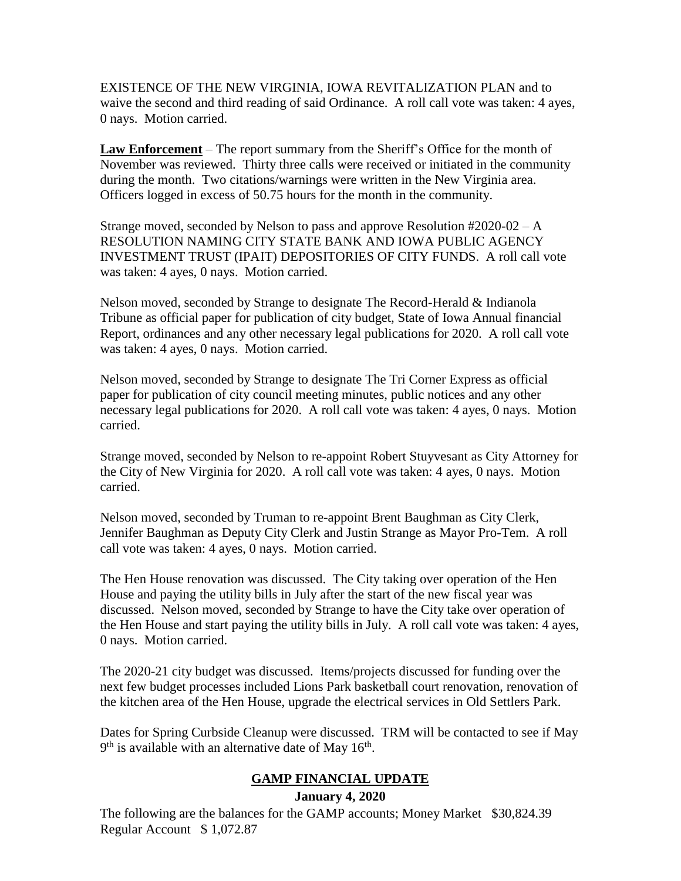EXISTENCE OF THE NEW VIRGINIA, IOWA REVITALIZATION PLAN and to waive the second and third reading of said Ordinance. A roll call vote was taken: 4 ayes, 0 nays. Motion carried.

**Law Enforcement** – The report summary from the Sheriff's Office for the month of November was reviewed. Thirty three calls were received or initiated in the community during the month. Two citations/warnings were written in the New Virginia area. Officers logged in excess of 50.75 hours for the month in the community.

Strange moved, seconded by Nelson to pass and approve Resolution #2020-02 – A RESOLUTION NAMING CITY STATE BANK AND IOWA PUBLIC AGENCY INVESTMENT TRUST (IPAIT) DEPOSITORIES OF CITY FUNDS. A roll call vote was taken: 4 ayes, 0 nays. Motion carried.

Nelson moved, seconded by Strange to designate The Record-Herald & Indianola Tribune as official paper for publication of city budget, State of Iowa Annual financial Report, ordinances and any other necessary legal publications for 2020. A roll call vote was taken: 4 ayes, 0 nays. Motion carried.

Nelson moved, seconded by Strange to designate The Tri Corner Express as official paper for publication of city council meeting minutes, public notices and any other necessary legal publications for 2020. A roll call vote was taken: 4 ayes, 0 nays. Motion carried.

Strange moved, seconded by Nelson to re-appoint Robert Stuyvesant as City Attorney for the City of New Virginia for 2020. A roll call vote was taken: 4 ayes, 0 nays. Motion carried.

Nelson moved, seconded by Truman to re-appoint Brent Baughman as City Clerk, Jennifer Baughman as Deputy City Clerk and Justin Strange as Mayor Pro-Tem. A roll call vote was taken: 4 ayes, 0 nays. Motion carried.

The Hen House renovation was discussed. The City taking over operation of the Hen House and paying the utility bills in July after the start of the new fiscal year was discussed. Nelson moved, seconded by Strange to have the City take over operation of the Hen House and start paying the utility bills in July. A roll call vote was taken: 4 ayes, 0 nays. Motion carried.

The 2020-21 city budget was discussed. Items/projects discussed for funding over the next few budget processes included Lions Park basketball court renovation, renovation of the kitchen area of the Hen House, upgrade the electrical services in Old Settlers Park.

Dates for Spring Curbside Cleanup were discussed. TRM will be contacted to see if May  $9<sup>th</sup>$  is available with an alternative date of May 16<sup>th</sup>.

# **GAMP FINANCIAL UPDATE**

#### **January 4, 2020**

The following are the balances for the GAMP accounts; Money Market \$30,824.39 Regular Account \$ 1,072.87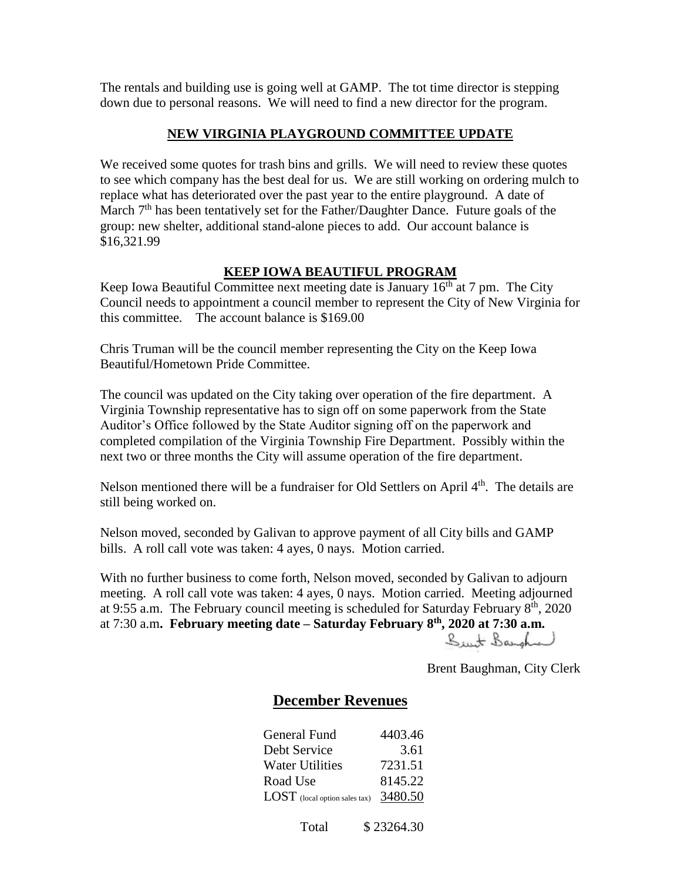The rentals and building use is going well at GAMP. The tot time director is stepping down due to personal reasons. We will need to find a new director for the program.

#### **NEW VIRGINIA PLAYGROUND COMMITTEE UPDATE**

We received some quotes for trash bins and grills. We will need to review these quotes to see which company has the best deal for us. We are still working on ordering mulch to replace what has deteriorated over the past year to the entire playground. A date of March 7<sup>th</sup> has been tentatively set for the Father/Daughter Dance. Future goals of the group: new shelter, additional stand-alone pieces to add. Our account balance is \$16,321.99

### **KEEP IOWA BEAUTIFUL PROGRAM**

Keep Iowa Beautiful Committee next meeting date is January  $16<sup>th</sup>$  at 7 pm. The City Council needs to appointment a council member to represent the City of New Virginia for this committee. The account balance is \$169.00

Chris Truman will be the council member representing the City on the Keep Iowa Beautiful/Hometown Pride Committee.

The council was updated on the City taking over operation of the fire department. A Virginia Township representative has to sign off on some paperwork from the State Auditor's Office followed by the State Auditor signing off on the paperwork and completed compilation of the Virginia Township Fire Department. Possibly within the next two or three months the City will assume operation of the fire department.

Nelson mentioned there will be a fundraiser for Old Settlers on April  $4<sup>th</sup>$ . The details are still being worked on.

Nelson moved, seconded by Galivan to approve payment of all City bills and GAMP bills. A roll call vote was taken: 4 ayes, 0 nays. Motion carried.

With no further business to come forth, Nelson moved, seconded by Galivan to adjourn meeting. A roll call vote was taken: 4 ayes, 0 nays. Motion carried. Meeting adjourned at 9:55 a.m. The February council meeting is scheduled for Saturday February  $8<sup>th</sup>$ , 2020 at 7:30 a.m**. February meeting date – Saturday February 8th , 2020 at 7:30 a.m.**  Sunt Bangha

Brent Baughman, City Clerk

## **December Revenues**

| General Fund                            | 4403.46 |
|-----------------------------------------|---------|
| Debt Service                            | 3.61    |
| <b>Water Utilities</b>                  | 7231.51 |
| Road Use                                | 8145.22 |
| $LOST$ (local option sales tax) 3480.50 |         |

Total \$ 23264.30